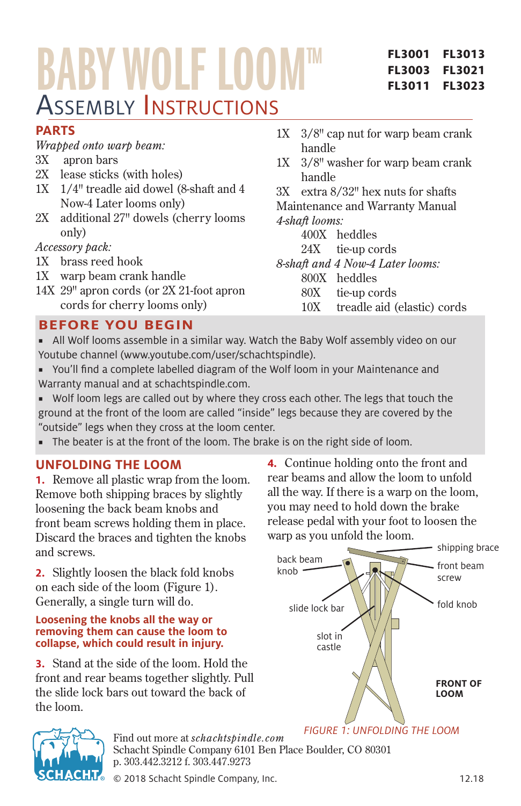# BABY WOLF LOOM Assembly Instructions

#### **FL3001 FL3003 FL3011 FL3013 FL3021 FL3023**

# **PARTS**

*Wrapped onto warp beam:*

- 3X apron bars
- 2X lease sticks (with holes)
- 1X 1/4" treadle aid dowel (8-shaft and 4 Now-4 Later looms only)
- 2X additional 27" dowels (cherry looms only)

*Accessory pack:*

- 1X brass reed hook
- 1X warp beam crank handle
- 14X 29" apron cords (or 2X 21-foot apron cords for cherry looms only)
- 1X 3/8" cap nut for warp beam crank handle
- 1X 3/8" washer for warp beam crank handle
- 3X extra 8/32" hex nuts for shafts

Maintenance and Warranty Manual *4-shaft looms:*

- 400X heddles
- 24X tie-up cords

*8-shaft and 4 Now-4 Later looms:*

- 800X heddles
- 80X tie-up cords
- 10X treadle aid (elastic) cords

# **BEFORE YOU BEGIN**

- All Wolf looms assemble in a similar way. Watch the Baby Wolf assembly video on our Youtube channel (www.youtube.com/user/schachtspindle).
- You'll find a complete labelled diagram of the Wolf loom in your Maintenance and Warranty manual and at schachtspindle.com.

■ Wolf loom legs are called out by where they cross each other. The legs that touch the ground at the front of the loom are called "inside" legs because they are covered by the "outside" legs when they cross at the loom center.

■ The beater is at the front of the loom. The brake is on the right side of loom.

# **UNFOLDING THE LOOM**

**1.** Remove all plastic wrap from the loom. Remove both shipping braces by slightly loosening the back beam knobs and front beam screws holding them in place. Discard the braces and tighten the knobs and screws.

**2.** Slightly loosen the black fold knobs on each side of the loom (Figure 1). Generally, a single turn will do.

#### **Loosening the knobs all the way or removing them can cause the loom to collapse, which could result in injury.**

**3.** Stand at the side of the loom. Hold the front and rear beams together slightly. Pull the slide lock bars out toward the back of the loom.

**4.** Continue holding onto the front and rear beams and allow the loom to unfold all the way. If there is a warp on the loom, you may need to hold down the brake release pedal with your foot to loosen the warp as you unfold the loom.





Find out more at *schachtspindle.com* Schacht Spindle Company 6101 Ben Place Boulder, CO 80301 p. 303.442.3212 f. 303.447.9273

© 2018 Schacht Spindle Company, Inc. 12.18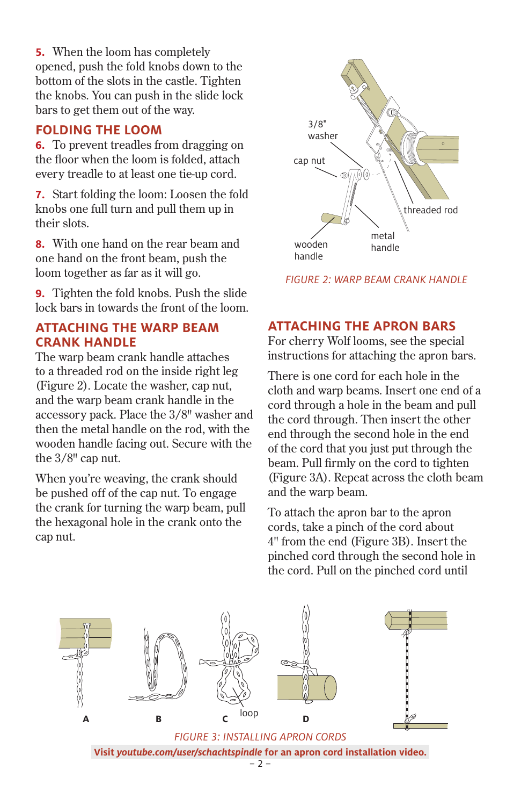**5.** When the loom has completely opened, push the fold knobs down to the bottom of the slots in the castle. Tighten the knobs. You can push in the slide lock bars to get them out of the way.

## **FOLDING THE LOOM**

**6.** To prevent treadles from dragging on the floor when the loom is folded, attach every treadle to at least one tie-up cord.

**7.** Start folding the loom: Loosen the fold knobs one full turn and pull them up in their slots.

**8.** With one hand on the rear beam and one hand on the front beam, push the loom together as far as it will go.

**9.** Tighten the fold knobs. Push the slide lock bars in towards the front of the loom.

### **ATTACHING THE WARP BEAM CRANK HANDLE**

The warp beam crank handle attaches to a threaded rod on the inside right leg (Figure 2). Locate the washer, cap nut, and the warp beam crank handle in the accessory pack. Place the 3/8" washer and then the metal handle on the rod, with the wooden handle facing out. Secure with the the 3/8" cap nut.

When you're weaving, the crank should be pushed off of the cap nut. To engage the crank for turning the warp beam, pull the hexagonal hole in the crank onto the cap nut.



*FIGURE 2: WARP BEAM CRANK HANDLE*

# **ATTACHING THE APRON BARS**

For cherry Wolf looms, see the special instructions for attaching the apron bars.

There is one cord for each hole in the cloth and warp beams. Insert one end of a cord through a hole in the beam and pull the cord through. Then insert the other end through the second hole in the end of the cord that you just put through the beam. Pull firmly on the cord to tighten (Figure 3A). Repeat across the cloth beam and the warp beam.

To attach the apron bar to the apron cords, take a pinch of the cord about 4" from the end (Figure 3B). Insert the pinched cord through the second hole in the cord. Pull on the pinched cord until

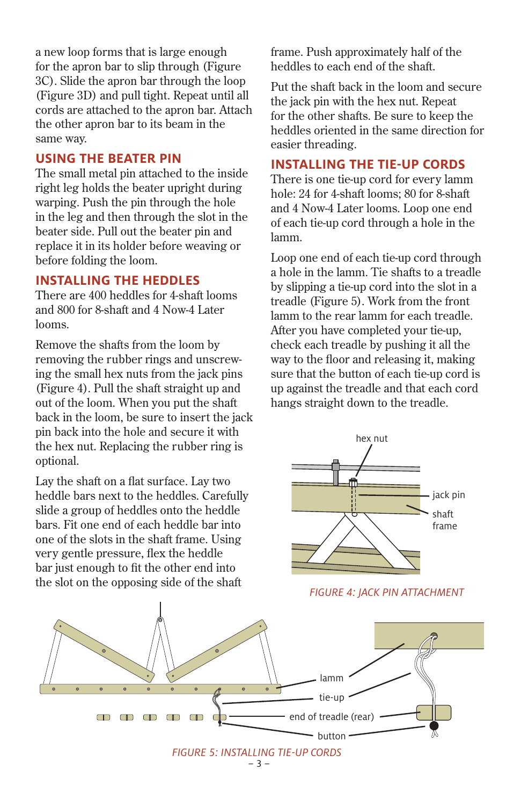a new loop forms that is large enough for the apron bar to slip through (Figure 3C). Slide the apron bar through the loop (Figure 3D) and pull tight. Repeat until all cords are attached to the apron bar. Attach the other apron bar to its beam in the same way.

#### **USING THE BEATER PIN**

The small metal pin attached to the inside right leg holds the beater upright during warping. Push the pin through the hole in the leg and then through the slot in the beater side. Pull out the beater pin and replace it in its holder before weaving or before folding the loom.

#### **INSTALLING THE HEDDLES**

There are 400 heddles for 4-shaft looms and 800 for 8-shaft and 4 Now-4 Later looms.

Remove the shafts from the loom by removing the rubber rings and unscrewing the small hex nuts from the jack pins (Figure 4). Pull the shaft straight up and out of the loom. When you put the shaft back in the loom, be sure to insert the jack pin back into the hole and secure it with the hex nut. Replacing the rubber ring is optional.

Lay the shaft on a flat surface. Lay two heddle bars next to the heddles. Carefully slide a group of heddles onto the heddle bars. Fit one end of each heddle bar into one of the slots in the shaft frame. Using very gentle pressure, flex the heddle bar just enough to fit the other end into the slot on the opposing side of the shaft

frame. Push approximately half of the heddles to each end of the shaft.

Put the shaft back in the loom and secure the jack pin with the hex nut. Repeat for the other shafts. Be sure to keep the heddles oriented in the same direction for easier threading.

### **INSTALLING THE TIE-UP CORDS**

There is one tie-up cord for every lamm hole: 24 for 4-shaft looms; 80 for 8-shaft and 4 Now-4 Later looms. Loop one end of each tie-up cord through a hole in the lamm.

Loop one end of each tie-up cord through a hole in the lamm. Tie shafts to a treadle by slipping a tie-up cord into the slot in a treadle (Figure 5). Work from the front lamm to the rear lamm for each treadle. After you have completed your tie-up, check each treadle by pushing it all the way to the floor and releasing it, making sure that the button of each tie-up cord is up against the treadle and that each cord hangs straight down to the treadle.



 *FIGURE 4: JACK PIN ATTACHMENT*